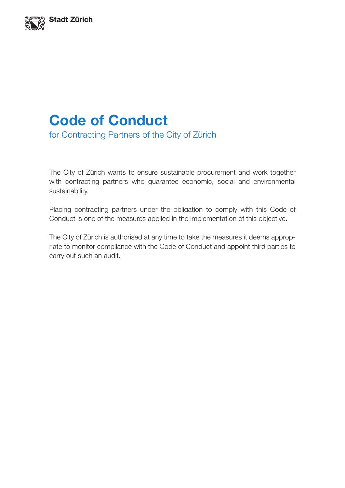

# **Code of Conduct** for Contracting Partners of the City of Zürich

The City of Zürich wants to ensure sustainable procurement and work together with contracting partners who guarantee economic, social and environmental sustainability.

Placing contracting partners under the obligation to comply with this Code of Conduct is one of the measures applied in the implementation of this objective.

The City of Zürich is authorised at any time to take the measures it deems appropriate to monitor compliance with the Code of Conduct and appoint third parties to carry out such an audit.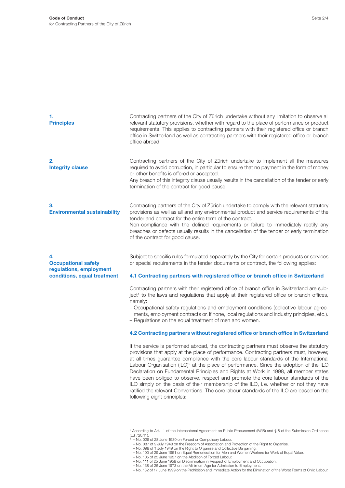| 1.<br><b>Principles</b>                                                                    | Contracting partners of the City of Zürich undertake without any limitation to observe all<br>relevant statutory provisions, whether with regard to the place of performance or product<br>requirements. This applies to contracting partners with their registered office or branch<br>office in Switzerland as well as contracting partners with their registered office or branch<br>office abroad.                                                                                                                                                                                                                                                |
|--------------------------------------------------------------------------------------------|-------------------------------------------------------------------------------------------------------------------------------------------------------------------------------------------------------------------------------------------------------------------------------------------------------------------------------------------------------------------------------------------------------------------------------------------------------------------------------------------------------------------------------------------------------------------------------------------------------------------------------------------------------|
| 2.<br><b>Integrity clause</b>                                                              | Contracting partners of the City of Zürich undertake to implement all the measures<br>required to avoid corruption, in particular to ensure that no payment in the form of money<br>or other benefits is offered or accepted.<br>Any breach of this integrity clause usually results in the cancellation of the tender or early<br>termination of the contract for good cause.                                                                                                                                                                                                                                                                        |
| 3.<br><b>Environmental sustainability</b>                                                  | Contracting partners of the City of Zürich undertake to comply with the relevant statutory<br>provisions as well as all and any environmental product and service requirements of the<br>tender and contract for the entire term of the contract.<br>Non-compliance with the defined requirements or failure to immediately rectify any<br>breaches or defects usually results in the cancellation of the tender or early termination<br>of the contract for good cause.                                                                                                                                                                              |
| 4.<br><b>Occupational safety</b><br>regulations, employment<br>conditions, equal treatment | Subject to specific rules formulated separately by the City for certain products or services<br>or special requirements in the tender documents or contract, the following applies:<br>4.1 Contracting partners with registered office or branch office in Switzerland<br>Contracting partners with their registered office of branch office in Switzerland are sub-<br>ject <sup>1</sup> to the laws and regulations that apply at their registered office or branch offices,<br>namely:<br>- Occupational safety regulations and employment conditions (collective labour agree-                                                                    |
|                                                                                            | ments, employment contracts or, if none, local regulations and industry principles, etc.).<br>- Regulations on the equal treatment of men and women.<br>4.2 Contracting partners without registered office or branch office in Switzerland                                                                                                                                                                                                                                                                                                                                                                                                            |
|                                                                                            | If the service is performed abroad, the contracting partners must observe the statutory<br>provisions that apply at the place of performance. Contracting partners must, however,<br>at all times guarantee compliance with the core labour standards of the International<br>Labour Organisation (ILO) <sup>2</sup> at the place of performance. Since the adoption of the ILO<br>Declaration on Fundamental Principles and Rights at Work in 1998, all member states<br>have been obliged to observe, respect and promote the core labour standards of the<br>ILO simply on the basis of their membership of the ILO, i.e. whether or not they have |

ratified the relevant Conventions. The core labour standards of the ILO are based on the

following eight principles:

<sup>1</sup> According to Art. 11 of the Intercantonal Agreement on Public Procurement (IVöB) and § 8 of the Submission Ordinance (LS 720.11). <sup>2</sup> – No. 029 of 28 June 1930 on Forced or Compulsory Labour.

<sup>–</sup> No. 087 of 9 July 1948 on the Freedom of Association and Protection of the Right to Organise.<br>– No. 098 of 1 July 1949 on the Right to Organise and Collective Bargaining.<br>– No. 100 of 29 June 1951 on Equal Remuneration f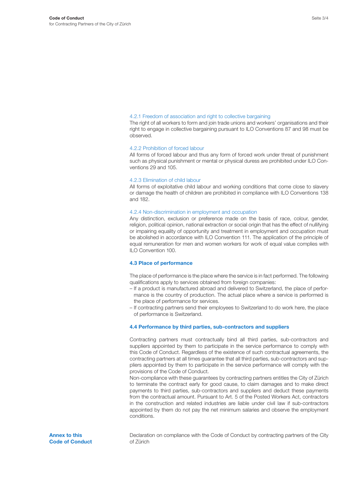#### 4.2.1 Freedom of association and right to collective bargaining

The right of all workers to form and join trade unions and workers' organisations and their right to engage in collective bargaining pursuant to ILO Conventions 87 and 98 must be observed.

## 4.2.2 Prohibition of forced labour

All forms of forced labour and thus any form of forced work under threat of punishment such as physical punishment or mental or physical duress are prohibited under ILO Conventions 29 and 105.

#### 4.2.3 Elimination of child labour

All forms of exploitative child labour and working conditions that come close to slavery or damage the health of children are prohibited in compliance with ILO Conventions 138 and 182.

## 4.2.4 Non-discrimination in employment and occupation

Any distinction, exclusion or preference made on the basis of race, colour, gender, religion, political opinion, national extraction or social origin that has the effect of nullifying or impairing equality of opportunity and treatment in employment and occupation must be abolished in accordance with ILO Convention 111. The application of the principle of equal remuneration for men and women workers for work of equal value complies with ILO Convention 100.

### **4.3 Place of performance**

The place of performance is the place where the service is in fact performed. The following qualifications apply to services obtained from foreign companies:

- If a product is manufactured abroad and delivered to Switzerland, the place of performance is the country of production. The actual place where a service is performed is the place of performance for services.
- If contracting partners send their employees to Switzerland to do work here, the place of performance is Switzerland.

## **4.4 Performance by third parties, sub-contractors and suppliers**

Contracting partners must contractually bind all third parties, sub-contractors and suppliers appointed by them to participate in the service performance to comply with this Code of Conduct. Regardless of the existence of such contractual agreements, the contracting partners at all times guarantee that all third parties, sub-contractors and suppliers appointed by them to participate in the service performance will comply with the provisions of the Code of Conduct.

Non-compliance with these guarantees by contracting partners entitles the City of Zürich to terminate the contract early for good cause, to claim damages and to make direct payments to third parties, sub-contractors and suppliers and deduct these payments from the contractual amount. Pursuant to Art. 5 of the Posted Workers Act, contractors in the construction and related industries are liable under civil law if sub-contractors appointed by them do not pay the net minimum salaries and observe the employment conditions.

**Annex to this Code of Conduct**  Declaration on compliance with the Code of Conduct by contracting partners of the City of Zürich